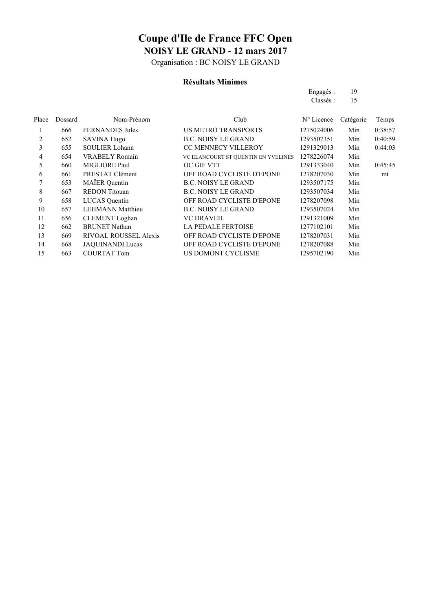Organisation : BC NOISY LE GRAND

#### **Résultats Minimes**

| Engagés:  | 19 |
|-----------|----|
| Classés : | 15 |
|           |    |

| Place | Dossard | Nom-Prénom                   | Club                                | N° Licence | Catégorie | Temps   |
|-------|---------|------------------------------|-------------------------------------|------------|-----------|---------|
|       | 666     | <b>FERNANDES</b> Jules       | <b>US METRO TRANSPORTS</b>          | 1275024006 | Min       | 0:38:57 |
| 2     | 652     | <b>SAVINA Hugo</b>           | <b>B.C. NOISY LE GRAND</b>          | 1293507351 | Min       | 0:40:59 |
| 3     | 655     | <b>SOULIER Lohann</b>        | <b>CC MENNECY VILLEROY</b>          | 1291329013 | Min       | 0:44:03 |
| 4     | 654     | <b>VRABELY Romain</b>        | VC ELANCOURT ST QUENTIN EN YVELINES | 1278226074 | Min       |         |
| 5     | 660     | MIGLIORE Paul                | OC GIF VTT                          | 1291333040 | Min       | 0:45:45 |
| 6     | 661     | PRESTAT Clément              | OFF ROAD CYCLISTE D'EPONE           | 1278207030 | Min       | mt      |
|       | 653     | <b>MAÏER</b> Quentin         | <b>B.C. NOISY LE GRAND</b>          | 1293507175 | Min       |         |
| 8     | 667     | <b>REDON</b> Titouan         | <b>B.C. NOISY LE GRAND</b>          | 1293507034 | Min       |         |
| 9     | 658     | LUCAS Quentin                | OFF ROAD CYCLISTE D'EPONE           | 1278207098 | Min       |         |
| 10    | 657     | <b>LEHMANN</b> Matthieu      | <b>B.C. NOISY LE GRAND</b>          | 1293507024 | Min       |         |
| 11    | 656     | <b>CLEMENT</b> Loghan        | <b>VC DRAVEIL</b>                   | 1291321009 | Min       |         |
| 12    | 662     | <b>BRUNET Nathan</b>         | <b>LA PEDALE FERTOISE</b>           | 1277102101 | Min       |         |
| 13    | 669     | <b>RIVOAL ROUSSEL Alexis</b> | OFF ROAD CYCLISTE D'EPONE           | 1278207031 | Min       |         |
| 14    | 668     | <b>JAQUINANDI Lucas</b>      | OFF ROAD CYCLISTE D'EPONE           | 1278207088 | Min       |         |
| 15    | 663     | <b>COURTAT Tom</b>           | US DOMONT CYCLISME                  | 1295702190 | Min       |         |
|       |         |                              |                                     |            |           |         |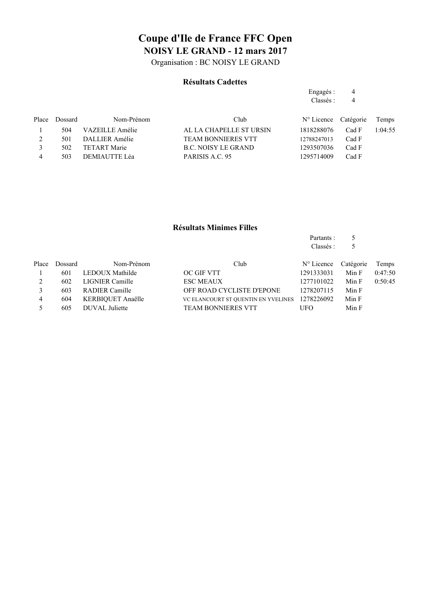Organisation : BC NOISY LE GRAND

#### **Résultats Cadettes**

| Engagés: | 4 |
|----------|---|
| Classés: | 4 |

Partants : 5

| Dossard | Nom-Prénom          | Club                       |             |       | Temps                |
|---------|---------------------|----------------------------|-------------|-------|----------------------|
| 504     | VAZEILLE Amélie     | AL LA CHAPELLE ST URSIN    | 1818288076  | Cad F | 1:04:55              |
| 501     | DALLIER Amélie      | <b>TEAM BONNIERES VTT</b>  | 12788247013 | Cad F |                      |
| 502     | <b>TETART Marie</b> | <b>B.C. NOISY LE GRAND</b> | 1293507036  | Cad F |                      |
| 503     | DEMIAUTTE Léa       | PARISIS A.C. 95            | 1295714009  | Cad F |                      |
|         |                     |                            |             |       | N° Licence Catégorie |

#### **Résultats Minimes Filles**

|       |         |                       |                                     | Classés :           | 5         |         |
|-------|---------|-----------------------|-------------------------------------|---------------------|-----------|---------|
| Place | Dossard | Nom-Prénom            | Club                                | $N^{\circ}$ Licence | Catégorie | Temps   |
|       | 601     | LEDOUX Mathilde       | OC GIF VTT                          | 1291333031          | Min F     | 0:47:50 |
| 2     | 602     | LIGNIER Camille       | <b>ESC MEAUX</b>                    | 1277101022          | Min F     | 0:50:45 |
|       | 603     | <b>RADIER Camille</b> | OFF ROAD CYCLISTE D'EPONE           | 1278207115          | Min F     |         |
| 4     | 604     | KERBIOUET Anaëlle     | VC ELANCOURT ST QUENTIN EN YVELINES | 1278226092          | Min F     |         |
|       | 605     | DUVAL Juliette        | <b>TEAM BONNIERES VTT</b>           | UFO                 | Min F     |         |
|       |         |                       |                                     |                     |           |         |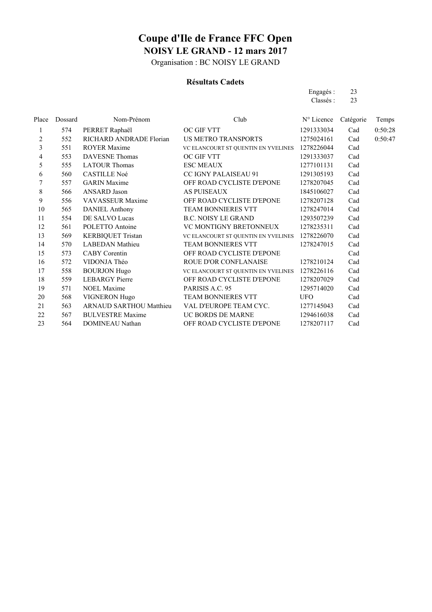Organisation : BC NOISY LE GRAND

#### **Résultats Cadets**

| Engagés: | 23 |
|----------|----|
| Classés: | 23 |

| Place          | Dossard | Nom-Prénom                     | Club                                           | N° Licence | Catégorie | Temps   |
|----------------|---------|--------------------------------|------------------------------------------------|------------|-----------|---------|
| 1              | 574     | PERRET Raphaël                 | OC GIF VTT                                     | 1291333034 | Cad       | 0:50:28 |
| 2              | 552     | RICHARD ANDRADE Florian        | US METRO TRANSPORTS                            | 1275024161 | Cad       | 0:50:47 |
| 3              | 551     | <b>ROYER Maxime</b>            | VC ELANCOURT ST QUENTIN EN YVELINES 1278226044 |            | Cad       |         |
| 4              | 553     | <b>DAVESNE</b> Thomas          | OC GIF VTT                                     | 1291333037 | Cad       |         |
| 5              | 555     | <b>LATOUR Thomas</b>           | <b>ESC MEAUX</b>                               | 1277101131 | Cad       |         |
| 6              | 560     | <b>CASTILLE Noé</b>            | CC IGNY PALAISEAU 91                           | 1291305193 | Cad       |         |
| $\overline{7}$ | 557     | <b>GARIN</b> Maxime            | OFF ROAD CYCLISTE D'EPONE                      | 1278207045 | Cad       |         |
| 8              | 566     | ANSARD Jason                   | <b>AS PUISEAUX</b>                             | 1845106027 | Cad       |         |
| 9              | 556     | <b>VAVASSEUR Maxime</b>        | OFF ROAD CYCLISTE D'EPONE                      | 1278207128 | Cad       |         |
| 10             | 565     | <b>DANIEL Anthony</b>          | TEAM BONNIERES VTT                             | 1278247014 | Cad       |         |
| 11             | 554     | DE SALVO Lucas                 | <b>B.C. NOISY LE GRAND</b>                     | 1293507239 | Cad       |         |
| 12             | 561     | POLETTO Antoine                | VC MONTIGNY BRETONNEUX                         | 1278235311 | Cad       |         |
| 13             | 569     | <b>KERBIQUET Tristan</b>       | VC ELANCOURT ST QUENTIN EN YVELINES            | 1278226070 | Cad       |         |
| 14             | 570     | <b>LABEDAN</b> Mathieu         | TEAM BONNIERES VTT                             | 1278247015 | Cad       |         |
| 15             | 573     | <b>CABY Corentin</b>           | OFF ROAD CYCLISTE D'EPONE                      |            | Cad       |         |
| 16             | 572     | VIDONJA Théo                   | ROUE D'OR CONFLANAISE                          | 1278210124 | Cad       |         |
| 17             | 558     | <b>BOURJON Hugo</b>            | VC ELANCOURT ST QUENTIN EN YVELINES            | 1278226116 | Cad       |         |
| 18             | 559     | <b>LEBARGY</b> Pierre          | OFF ROAD CYCLISTE D'EPONE                      | 1278207029 | Cad       |         |
| 19             | 571     | <b>NOEL Maxime</b>             | PARISIS A.C. 95                                | 1295714020 | Cad       |         |
| 20             | 568     | <b>VIGNERON Hugo</b>           | TEAM BONNIERES VTT                             | <b>UFO</b> | Cad       |         |
| 21             | 563     | <b>ARNAUD SARTHOU Matthieu</b> | VAL D'EUROPE TEAM CYC.                         | 1277145043 | Cad       |         |
| 22             | 567     | <b>BULVESTRE Maxime</b>        | UC BORDS DE MARNE                              | 1294616038 | Cad       |         |
| 23             | 564     | <b>DOMINEAU Nathan</b>         | OFF ROAD CYCLISTE D'EPONE                      | 1278207117 | Cad       |         |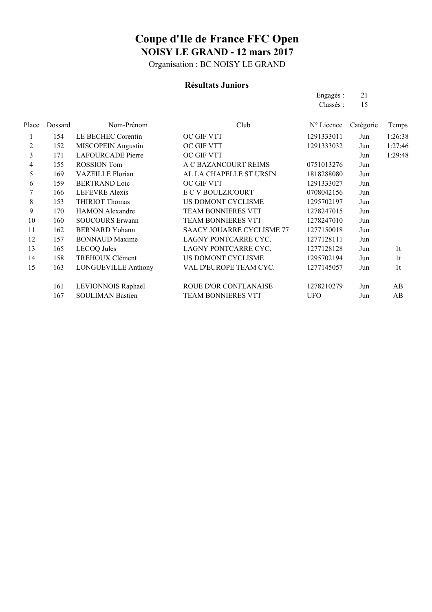Organisation : BC NOISY LE GRAND

#### **Résultats Juniors**

|       |         |                            |                                  | Engagés:            | 21        |                |
|-------|---------|----------------------------|----------------------------------|---------------------|-----------|----------------|
|       |         |                            |                                  | Classés :           | 15        |                |
| Place | Dossard | Nom-Prénom                 | Club                             | $N^{\circ}$ Licence | Catégorie | Temps          |
| 1     | 154     | LE BECHEC Corentin         | OC GIF VTT                       | 1291333011          | Jun       | 1:26:38        |
| 2     | 152     | MISCOPEIN Augustin         | OC GIF VTT                       | 1291333032          | Jun       | 1:27:46        |
| 3     | 171     | <b>LAFOURCADE Pierre</b>   | OC GIF VTT                       |                     | Jun       | 1:29:48        |
| 4     | 155     | <b>ROSSION</b> Tom         | A C BAZANCOURT REIMS             | 0751013276          | Jun       |                |
| 5     | 169     | <b>VAZEILLE Florian</b>    | AL LA CHAPELLE ST URSIN          | 1818288080          | Jun       |                |
| 6     | 159     | <b>BERTRAND Loic</b>       | OC GIF VTT                       | 1291333027          | Jun       |                |
| 7     | 166     | <b>LEFEVRE</b> Alexis      | E C V BOULZICOURT                | 0708042156          | Jun       |                |
| 8     | 153     | THIRIOT Thomas             | US DOMONT CYCLISME               | 1295702197          | Jun       |                |
| 9     | 170     | <b>HAMON Alexandre</b>     | TEAM BONNIERES VTT               | 1278247015          | Jun       |                |
| 10    | 160     | <b>SOUCOURS Erwann</b>     | TEAM BONNIERES VTT               | 1278247010          | Jun       |                |
| 11    | 162     | <b>BERNARD</b> Yohann      | <b>SAACY JOUARRE CYCLISME 77</b> | 1277150018          | Jun       |                |
| 12    | 157     | <b>BONNAUD Maxime</b>      | LAGNY PONTCARRE CYC.             | 1277128111          | Jun       |                |
| 13    | 165     | <b>LECOQ</b> Jules         | LAGNY PONTCARRE CYC.             | 1277128128          | Jun       | 1 <sup>t</sup> |
| 14    | 158     | TREHOUX Clément            | US DOMONT CYCLISME               | 1295702194          | Jun       | 1 <sup>t</sup> |
| 15    | 163     | <b>LONGUEVILLE Anthony</b> | VAL D'EUROPE TEAM CYC.           | 1277145057          | Jun       | 1 <sub>t</sub> |
|       | 161     | LEVIONNOIS Raphaël         | ROUE D'OR CONFLANAISE            | 1278210279          | Jun       | AB             |
|       | 167     | <b>SOULIMAN Bastien</b>    | <b>TEAM BONNIERES VTT</b>        | <b>UFO</b>          | Jun       | AB             |
|       |         |                            |                                  |                     |           |                |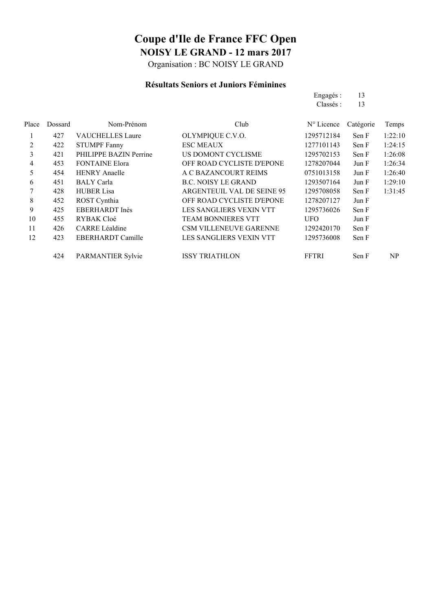Organisation : BC NOISY LE GRAND

### **Résultats Seniors et Juniors Féminines**

|       |         |                          |                                   | Engagés :    | 13        |         |
|-------|---------|--------------------------|-----------------------------------|--------------|-----------|---------|
|       |         |                          |                                   | Classés:     | 13        |         |
| Place | Dossard | Nom-Prénom               | Club                              | N° Licence   | Catégorie | Temps   |
| 1     | 427     | <b>VAUCHELLES Laure</b>  | OLYMPIQUE C.V.O.                  | 1295712184   | Sen F     | 1:22:10 |
| 2     | 422     | <b>STUMPF Fanny</b>      | <b>ESC MEAUX</b>                  | 1277101143   | Sen F     | 1:24:15 |
| 3     | 421     | PHILIPPE BAZIN Perrine   | US DOMONT CYCLISME                | 1295702153   | Sen F     | 1:26:08 |
| 4     | 453     | <b>FONTAINE Elora</b>    | OFF ROAD CYCLISTE D'EPONE         | 1278207044   | Jun F     | 1:26:34 |
| 5     | 454     | <b>HENRY Anaelle</b>     | A C BAZANCOURT REIMS              | 0751013158   | Jun F     | 1:26:40 |
| 6     | 451     | <b>BALY</b> Carla        | <b>B.C. NOISY LE GRAND</b>        | 1293507164   | Jun F     | 1:29:10 |
| 7     | 428     | <b>HUBER Lisa</b>        | <b>ARGENTEUIL VAL DE SEINE 95</b> | 1295708058   | Sen F     | 1:31:45 |
| 8     | 452     | ROST Cynthia             | OFF ROAD CYCLISTE D'EPONE         | 1278207127   | Jun F     |         |
| 9     | 425     | EBERHARDT Inès           | <b>LES SANGLIERS VEXIN VTT</b>    | 1295736026   | Sen F     |         |
| 10    | 455     | RYBAK Cloé               | <b>TEAM BONNIERES VTT</b>         | <b>UFO</b>   | Jun F     |         |
| 11    | 426     | <b>CARRE</b> Léaldine    | <b>CSM VILLENEUVE GARENNE</b>     | 1292420170   | Sen F     |         |
| 12    | 423     | EBERHARDT Camille        | <b>LES SANGLIERS VEXIN VTT</b>    | 1295736008   | Sen F     |         |
|       | 424     | <b>PARMANTIER Sylvie</b> | <b>ISSY TRIATHLON</b>             | <b>FFTRI</b> | Sen F     | NP      |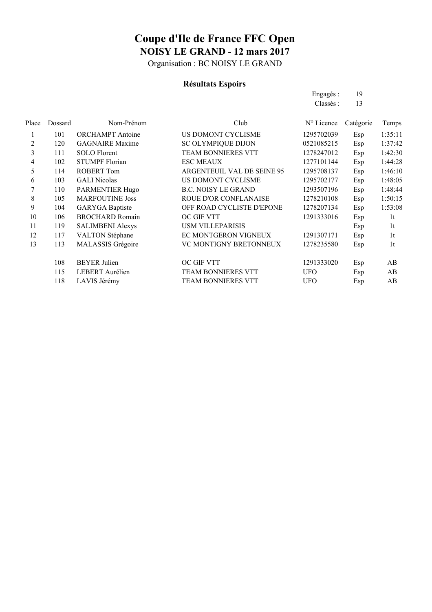Organisation : BC NOISY LE GRAND

### **Résultats Espoirs**

|       |         |                         |                                   | Engagés :  | 19        |                |
|-------|---------|-------------------------|-----------------------------------|------------|-----------|----------------|
|       |         |                         |                                   | Classés :  | 13        |                |
| Place | Dossard | Nom-Prénom              | Club                              | N° Licence | Catégorie | Temps          |
| 1     | 101     | <b>ORCHAMPT</b> Antoine | US DOMONT CYCLISME                | 1295702039 | Esp       | 1:35:11        |
| 2     | 120     | <b>GAGNAIRE Maxime</b>  | <b>SC OLYMPIQUE DIJON</b>         | 0521085215 | Esp       | 1:37:42        |
| 3     | 111     | <b>SOLO</b> Florent     | <b>TEAM BONNIERES VTT</b>         | 1278247012 | Esp       | 1:42:30        |
| 4     | 102     | <b>STUMPF Florian</b>   | <b>ESC MEAUX</b>                  | 1277101144 | Esp       | 1:44:28        |
| 5     | 114     | <b>ROBERT Tom</b>       | <b>ARGENTEUIL VAL DE SEINE 95</b> | 1295708137 | Esp       | 1:46:10        |
| 6     | 103     | <b>GALI</b> Nicolas     | US DOMONT CYCLISME                | 1295702177 | Esp       | 1:48:05        |
| 7     | 110     | PARMENTIER Hugo         | <b>B.C. NOISY LE GRAND</b>        | 1293507196 | Esp       | 1:48:44        |
| 8     | 105     | <b>MARFOUTINE Joss</b>  | ROUE D'OR CONFLANAISE             | 1278210108 | Esp       | 1:50:15        |
| 9     | 104     | <b>GARYGA</b> Baptiste  | OFF ROAD CYCLISTE D'EPONE         | 1278207134 | Esp       | 1:53:08        |
| 10    | 106     | <b>BROCHARD Romain</b>  | OC GIF VTT                        | 1291333016 | Esp       | 1 <sup>t</sup> |
| 11    | 119     | <b>SALIMBENI Alexys</b> | <b>USM VILLEPARISIS</b>           |            | Esp       | 1 <sub>t</sub> |
| 12    | 117     | <b>VALTON Stéphane</b>  | EC MONTGERON VIGNEUX              | 1291307171 | Esp       | 1 <sup>t</sup> |
| 13    | 113     | MALASSIS Grégoire       | VC MONTIGNY BRETONNEUX            | 1278235580 | Esp       | 1 <sub>t</sub> |
|       | 108     | <b>BEYER Julien</b>     | OC GIF VTT                        | 1291333020 | Esp       | AB             |
|       | 115     | LEBERT Aurélien         | <b>TEAM BONNIERES VTT</b>         | <b>UFO</b> | Esp       | AB             |
|       | 118     | LAVIS Jérémy            | <b>TEAM BONNIERES VTT</b>         | <b>UFO</b> | Esp       | AB             |
|       |         |                         |                                   |            |           |                |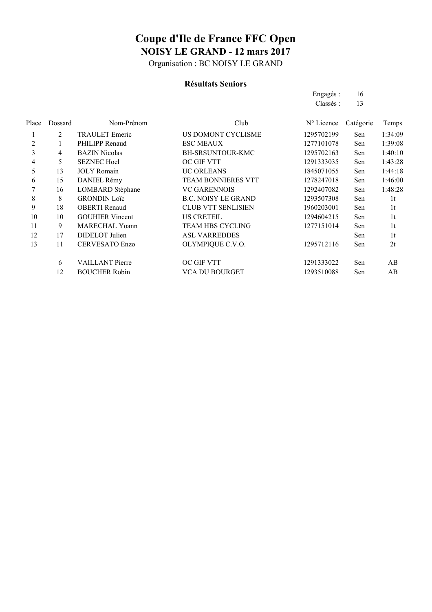Organisation : BC NOISY LE GRAND

#### **Résultats Seniors**

|         |                        |                            | Engagés :           | 16        |                |
|---------|------------------------|----------------------------|---------------------|-----------|----------------|
|         |                        |                            | Classés :           | 13        |                |
| Dossard | Nom-Prénom             | Club                       | $N^{\circ}$ Licence | Catégorie | Temps          |
| 2       | <b>TRAULET</b> Emeric  | US DOMONT CYCLISME         | 1295702199          | Sen       | 1:34:09        |
|         | PHILIPP Renaud         | <b>ESC MEAUX</b>           | 1277101078          | Sen       | 1:39:08        |
| 4       | <b>BAZIN</b> Nicolas   | <b>BH-SRSUNTOUR-KMC</b>    | 1295702163          | Sen       | 1:40:10        |
| 5       | <b>SEZNEC Hoel</b>     | OC GIF VTT                 | 1291333035          | Sen       | 1:43:28        |
| 13      | <b>JOLY</b> Romain     | <b>UC ORLEANS</b>          | 1845071055          | Sen       | 1:44:18        |
| 15      | DANIEL Rémy            | <b>TEAM BONNIERES VTT</b>  | 1278247018          | Sen       | 1:46:00        |
| 16      | LOMBARD Stéphane       | <b>VC GARENNOIS</b>        | 1292407082          | Sen       | 1:48:28        |
| 8       | <b>GRONDIN Loïc</b>    | <b>B.C. NOISY LE GRAND</b> | 1293507308          | Sen       | 1t             |
| 18      | <b>OBERTI</b> Renaud   | <b>CLUB VTT SENLISIEN</b>  | 1960203001          | Sen       | 1 <sub>t</sub> |
| 10      | <b>GOUHIER Vincent</b> | <b>US CRETEIL</b>          | 1294604215          | Sen       | 1 <sub>t</sub> |
| 9       | <b>MARECHAL Yoann</b>  | <b>TEAM HBS CYCLING</b>    | 1277151014          | Sen       | 1 <sup>t</sup> |
| 17      | DIDELOT Julien         | <b>ASL VARREDDES</b>       |                     | Sen       | 1 <sup>t</sup> |
| 11      | <b>CERVESATO Enzo</b>  | OLYMPIQUE C.V.O.           | 1295712116          | Sen       | 2t             |
| 6       | <b>VAILLANT Pierre</b> | OC GIF VTT                 | 1291333022          | Sen       | AB             |
| 12      | <b>BOUCHER Robin</b>   | <b>VCA DU BOURGET</b>      | 1293510088          | Sen       | AB             |
|         |                        |                            |                     |           |                |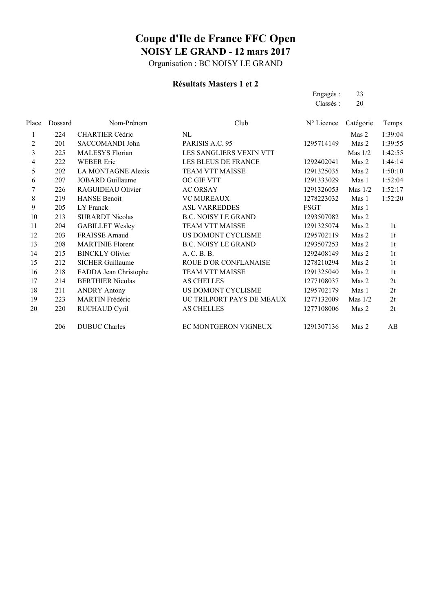Organisation : BC NOISY LE GRAND

### **Résultats Masters 1 et 2**

Engagés : 23 Classés : 20

| 1:39:04<br>1:39:55<br>1:42:55 |
|-------------------------------|
|                               |
|                               |
|                               |
| 1:44:14                       |
| 1:50:10                       |
| 1:52:04                       |
| 1:52:17                       |
| 1:52:20                       |
|                               |
|                               |
| 1 <sub>t</sub>                |
| 1t                            |
| 1 <sub>t</sub>                |
| 1t                            |
| 1 <sub>t</sub>                |
| 1 <sub>t</sub>                |
| 2t                            |
| 2t                            |
| 2t                            |
| 2t                            |
| AB                            |
|                               |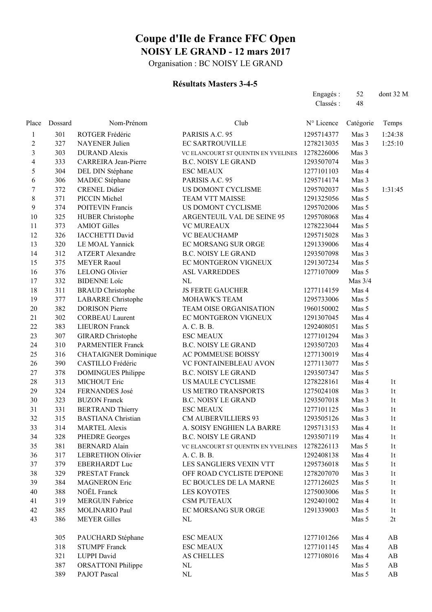Organisation : BC NOISY LE GRAND

### **Résultats Masters 3-4-5**

|                |         |                             |                                     | Engagés:<br>Classés: | 52<br>48  | dont 32 M              |
|----------------|---------|-----------------------------|-------------------------------------|----------------------|-----------|------------------------|
| Place          | Dossard | Nom-Prénom                  | Club                                | N° Licence           | Catégorie | Temps                  |
| $\mathbf{1}$   | 301     | ROTGER Frédéric             | PARISIS A.C. 95                     | 1295714377           | Mas 3     | 1:24:38                |
| $\overline{c}$ | 327     | <b>NAYENER Julien</b>       | <b>EC SARTROUVILLE</b>              | 1278213035           | Mas 3     | 1:25:10                |
| $\mathfrak{Z}$ | 303     | <b>DURAND</b> Alexis        | VC ELANCOURT ST QUENTIN EN YVELINES | 1278226006           | Mas 3     |                        |
| 4              | 333     | <b>CARREIRA</b> Jean-Pierre | <b>B.C. NOISY LE GRAND</b>          | 1293507074           | Mas 3     |                        |
| 5              | 304     | DEL DIN Stéphane            | <b>ESC MEAUX</b>                    | 1277101103           | Mas 4     |                        |
| 6              | 306     | MADEC Stéphane              | PARISIS A.C. 95                     | 1295714174           | Mas 3     |                        |
| $\tau$         | 372     | <b>CRENEL Didier</b>        | US DOMONT CYCLISME                  | 1295702037           | Mas 5     | 1:31:45                |
| $\,$ 8 $\,$    | 371     | PICCIN Michel               | TEAM VTT MAISSE                     | 1291325056           | Mas 5     |                        |
| 9              | 374     | <b>POITEVIN Francis</b>     | US DOMONT CYCLISME                  | 1295702006           | Mas 5     |                        |
| 10             | 325     | <b>HUBER Christophe</b>     | ARGENTEUIL VAL DE SEINE 95          | 1295708068           | Mas 4     |                        |
| 11             | 373     | <b>AMIOT Gilles</b>         | <b>VC MUREAUX</b>                   | 1278223044           | Mas 5     |                        |
| 12             | 326     | <b>IACCHETTI David</b>      | <b>VC BEAUCHAMP</b>                 | 1295715028           | Mas 3     |                        |
| 13             | 320     | LE MOAL Yannick             | EC MORSANG SUR ORGE                 | 1291339006           | Mas 4     |                        |
| 14             | 312     | <b>ATZERT</b> Alexandre     | <b>B.C. NOISY LE GRAND</b>          | 1293507098           | Mas 3     |                        |
| 15             | 375     | <b>MEYER Raoul</b>          | EC MONTGERON VIGNEUX                | 1291307234           | Mas 5     |                        |
| 16             | 376     | <b>LELONG Olivier</b>       | <b>ASL VARREDDES</b>                | 1277107009           | Mas 5     |                        |
| 17             | 332     | <b>BIDENNE Loïc</b>         | NL                                  |                      | Mas 3/4   |                        |
| 18             | 311     | <b>BRAUD</b> Christophe     | <b>JS FERTE GAUCHER</b>             | 1277114159           | Mas 4     |                        |
| 19             | 377     | <b>LABARRE</b> Christophe   | MOHAWK'S TEAM                       | 1295733006           | Mas 5     |                        |
| 20             | 382     | <b>DORISON</b> Pierre       | TEAM OISE ORGANISATION              | 1960150002           | Mas 5     |                        |
| 21             | 302     | <b>CORBEAU Laurent</b>      | EC MONTGERON VIGNEUX                | 1291307045           | Mas 4     |                        |
| 22             | 383     | <b>LIEURON Franck</b>       | A. C. B. B.                         | 1292408051           | Mas 5     |                        |
| 23             | 307     | <b>GIRARD</b> Christophe    | <b>ESC MEAUX</b>                    | 1277101294           | Mas 3     |                        |
| 24             | 310     | <b>PARMENTIER Franck</b>    | <b>B.C. NOISY LE GRAND</b>          | 1293507203           | Mas 4     |                        |
| 25             | 316     | <b>CHATAIGNER Dominique</b> | AC POMMEUSE BOISSY                  | 1277130019           | Mas 4     |                        |
| 26             | 390     | CASTILLO Frédéric           | VC FONTAINEBLEAU AVON               | 1277113077           | Mas 5     |                        |
| 27             | 378     | <b>DOMINGUES Philippe</b>   | <b>B.C. NOISY LE GRAND</b>          | 1293507347           | Mas 5     |                        |
| 28             | 313     | <b>MICHOUT Eric</b>         | US MAULE CYCLISME                   | 1278228161           | Mas 4     | 1 <sub>t</sub>         |
| 29             | 324     | FERNANDES José              | <b>US METRO TRANSPORTS</b>          | 1275024108           | Mas 3     | 1 <sub>t</sub>         |
| 30             | 323     | <b>BUZON</b> Franck         | <b>B.C. NOISY LE GRAND</b>          | 1293507018           | Mas 3     | 1 <sub>t</sub>         |
| 31             | 331     | <b>BERTRAND Thierry</b>     | <b>ESC MEAUX</b>                    | 1277101125           | Mas 3     | 1 <sub>t</sub>         |
| 32             | 315     | <b>BASTIANA</b> Christian   | <b>CM AUBERVILLIERS 93</b>          | 1293505126           | Mas 3     | 1 <sub>t</sub>         |
| 33             | 314     | <b>MARTEL Alexis</b>        | A. SOISY ENGHIEN LA BARRE           | 1295713153           | Mas 4     | 1 <sub>t</sub>         |
| 34             | 328     | <b>PHEDRE Georges</b>       | <b>B.C. NOISY LE GRAND</b>          | 1293507119           | Mas 4     | 1 <sub>t</sub>         |
| 35             | 381     | <b>BERNARD Alain</b>        | VC ELANCOURT ST QUENTIN EN YVELINES | 1278226113           | Mas 5     | 1 <sub>t</sub>         |
| 36             | 317     | <b>LEBRETHON Olivier</b>    | A. C. B. B.                         | 1292408138           | Mas 4     | 1 <sub>t</sub>         |
| 37             | 379     | <b>EBERHARDT Luc</b>        | LES SANGLIERS VEXIN VTT             | 1295736018           | Mas 5     | 1 <sub>t</sub>         |
| 38             | 329     | PRESTAT Franck              | OFF ROAD CYCLISTE D'EPONE           | 1278207070           | Mas 3     | 1 <sub>t</sub>         |
| 39             | 384     | <b>MAGNERON Eric</b>        | EC BOUCLES DE LA MARNE              | 1277126025           | Mas 5     | 1 <sub>t</sub>         |
| 40             | 388     | NOËL Franck                 | <b>LES KOYOTES</b>                  | 1275003006           | Mas 5     | 1 <sub>t</sub>         |
| 41             | 319     | <b>MERGUIN Fabrice</b>      | <b>CSM PUTEAUX</b>                  | 1292401002           | Mas 4     | 1 <sub>t</sub>         |
| 42             | 385     | MOLINARIO Paul              | EC MORSANG SUR ORGE                 | 1291339003           | Mas 5     | 1 <sub>t</sub>         |
| 43             | 386     | <b>MEYER Gilles</b>         | NL                                  |                      | Mas 5     | 2t                     |
|                | 305     | PAUCHARD Stéphane           | <b>ESC MEAUX</b>                    | 1277101266           | Mas 4     | AB                     |
|                | 318     | <b>STUMPF Franck</b>        | <b>ESC MEAUX</b>                    | 1277101145           | Mas 4     | AB                     |
|                | 321     | <b>LUPPI</b> David          | <b>AS CHELLES</b>                   | 1277108016           | Mas 4     | AB                     |
|                | 387     | <b>ORSATTONI</b> Philippe   | $\rm NL$                            |                      | Mas 5     | $\mathbf{A}\mathbf{B}$ |
|                | 389     | PAJOT Pascal                | $\rm NL$                            |                      | Mas 5     | $\mathbf{A}\mathbf{B}$ |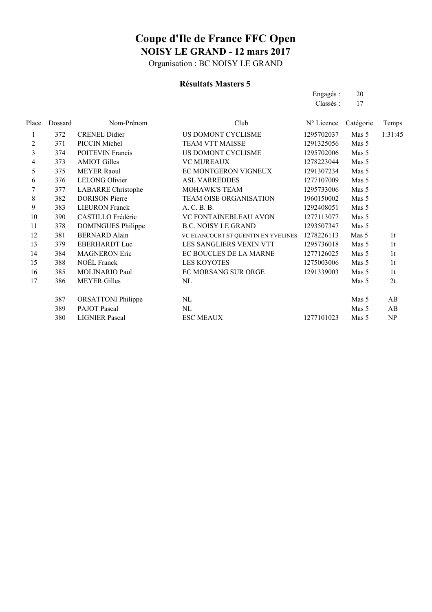Organisation : BC NOISY LE GRAND

#### **Résultats Masters 5**

|       |         |                           |                                     | Engagés:   | 20        |                |
|-------|---------|---------------------------|-------------------------------------|------------|-----------|----------------|
|       |         |                           |                                     | Classés:   | 17        |                |
| Place | Dossard | Nom-Prénom                | Club                                | N° Licence | Catégorie | Temps          |
| 1     | 372     | <b>CRENEL Didier</b>      | US DOMONT CYCLISME                  | 1295702037 | Mas 5     | 1:31:45        |
| 2     | 371     | PICCIN Michel             | <b>TEAM VTT MAISSE</b>              | 1291325056 | Mas 5     |                |
| 3     | 374     | <b>POITEVIN Francis</b>   | US DOMONT CYCLISME                  | 1295702006 | Mas 5     |                |
| 4     | 373     | <b>AMIOT Gilles</b>       | <b>VC MUREAUX</b>                   | 1278223044 | Mas 5     |                |
| 5     | 375     | <b>MEYER Raoul</b>        | EC MONTGERON VIGNEUX                | 1291307234 | Mas 5     |                |
| 6     | 376     | <b>LELONG Olivier</b>     | <b>ASL VARREDDES</b>                | 1277107009 | Mas 5     |                |
| 7     | 377     | <b>LABARRE</b> Christophe | <b>MOHAWK'S TEAM</b>                | 1295733006 | Mas 5     |                |
| 8     | 382     | <b>DORISON</b> Pierre     | <b>TEAM OISE ORGANISATION</b>       | 1960150002 | Mas 5     |                |
| 9     | 383     | <b>LIEURON Franck</b>     | A. C. B. B.                         | 1292408051 | Mas 5     |                |
| 10    | 390     | CASTILLO Frédéric         | <b>VC FONTAINEBLEAU AVON</b>        | 1277113077 | Mas 5     |                |
| 11    | 378     | <b>DOMINGUES Philippe</b> | <b>B.C. NOISY LE GRAND</b>          | 1293507347 | Mas 5     |                |
| 12    | 381     | <b>BERNARD Alain</b>      | VC ELANCOURT ST QUENTIN EN YVELINES | 1278226113 | Mas 5     | 1 <sub>t</sub> |
| 13    | 379     | <b>EBERHARDT Luc</b>      | LES SANGLIERS VEXIN VTT             | 1295736018 | Mas 5     | 1 <sub>t</sub> |
| 14    | 384     | <b>MAGNERON Eric</b>      | EC BOUCLES DE LA MARNE              | 1277126025 | Mas 5     | 1 <sub>t</sub> |
| 15    | 388     | NOËL Franck               | <b>LES KOYOTES</b>                  | 1275003006 | Mas 5     | 1 <sub>t</sub> |
| 16    | 385     | <b>MOLINARIO Paul</b>     | EC MORSANG SUR ORGE                 | 1291339003 | Mas 5     | 1t             |
| 17    | 386     | <b>MEYER Gilles</b>       | NL                                  |            | Mas 5     | 2t             |
|       | 387     | <b>ORSATTONI</b> Philippe | NL                                  |            | Mas 5     | AB             |
|       | 389     | <b>PAJOT</b> Pascal       | NL                                  |            | Mas 5     | AB             |
|       | 380     | <b>LIGNIER Pascal</b>     | <b>ESC MEAUX</b>                    | 1277101023 | Mas 5     | NP             |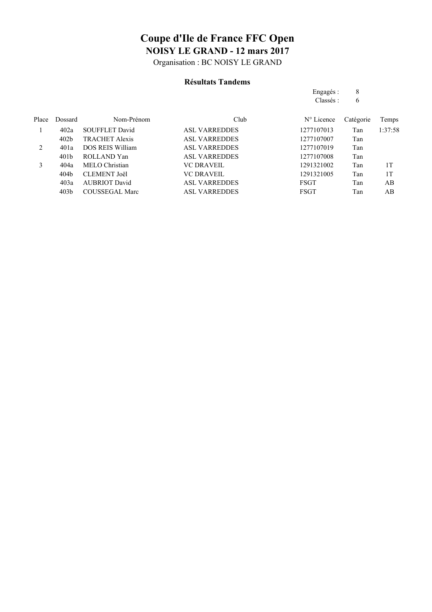Organisation : BC NOISY LE GRAND

#### **Résultats Tandems**

|       |                  |                       |                      | Engagés :           | 8         |         |
|-------|------------------|-----------------------|----------------------|---------------------|-----------|---------|
|       |                  |                       |                      | Classés:            | 6         |         |
| Place | Dossard          | Nom-Prénom            | Club                 | $N^{\circ}$ Licence | Catégorie | Temps   |
| 1     | 402a             | <b>SOUFFLET David</b> | <b>ASL VARREDDES</b> | 1277107013          | Tan       | 1:37:58 |
|       | 402 <sub>b</sub> | <b>TRACHET Alexis</b> | <b>ASL VARREDDES</b> | 1277107007          | Tan       |         |
| 2     | 401a             | DOS REIS William      | <b>ASL VARREDDES</b> | 1277107019          | Tan       |         |
|       | 401 <sub>b</sub> | ROLLAND Yan           | <b>ASL VARREDDES</b> | 1277107008          | Tan       |         |
| 3     | 404a             | MELO Christian        | <b>VC DRAVEIL</b>    | 1291321002          | Tan       | 1T      |
|       | 404b             | <b>CLEMENT</b> Joël   | <b>VC DRAVEIL</b>    | 1291321005          | Tan       | 1T      |
|       | 403a             | <b>AUBRIOT David</b>  | <b>ASL VARREDDES</b> | <b>FSGT</b>         | Tan       | AB      |
|       | 403 <sub>b</sub> | <b>COUSSEGAL Marc</b> | <b>ASL VARREDDES</b> | FSGT                | Tan       | AB      |
|       |                  |                       |                      |                     |           |         |